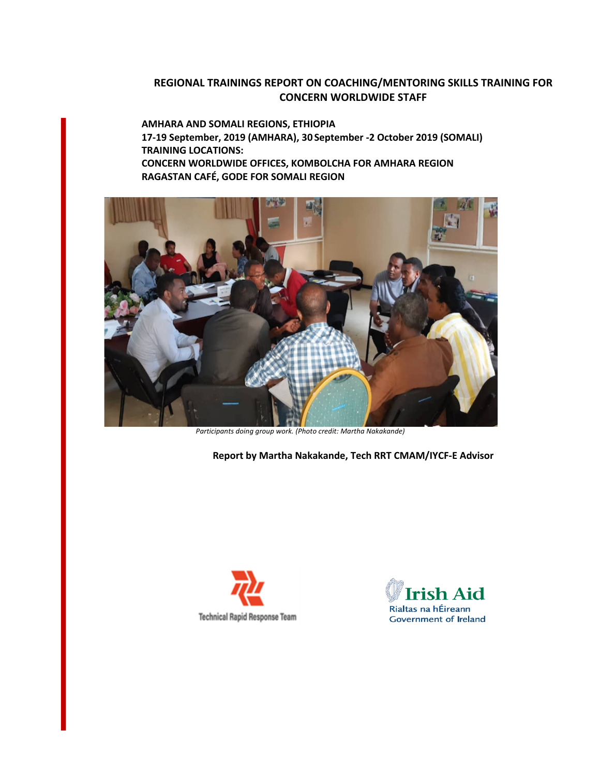## **REGIONAL TRAININGS REPORT ON COACHING/MENTORING SKILLS TRAINING FOR CONCERN WORLDWIDE STAFF**

**AMHARA AND SOMALI REGIONS, ETHIOPIA 17-19 September, 2019 (AMHARA), 30 September -2 October 2019 (SOMALI) TRAINING LOCATIONS: CONCERN WORLDWIDE OFFICES, KOMBOLCHA FOR AMHARA REGION RAGASTAN CAFÉ, GODE FOR SOMALI REGION**



*Participants doing group work. (Photo credit: Martha Nakakande)*

**Report by Martha Nakakande, Tech RRT CMAM/IYCF-E Advisor**



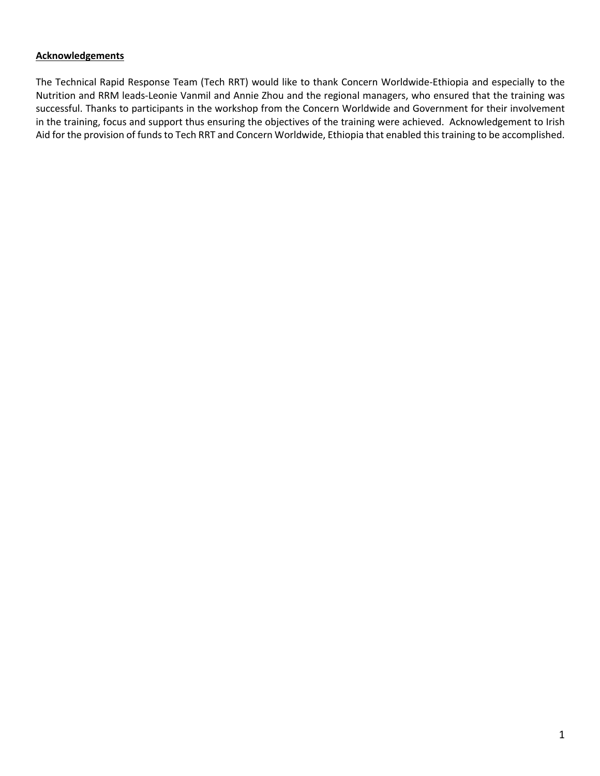## **Acknowledgements**

The Technical Rapid Response Team (Tech RRT) would like to thank Concern Worldwide-Ethiopia and especially to the Nutrition and RRM leads-Leonie Vanmil and Annie Zhou and the regional managers, who ensured that the training was successful. Thanks to participants in the workshop from the Concern Worldwide and Government for their involvement in the training, focus and support thus ensuring the objectives of the training were achieved. Acknowledgement to Irish Aid for the provision of funds to Tech RRT and Concern Worldwide, Ethiopia that enabled this training to be accomplished.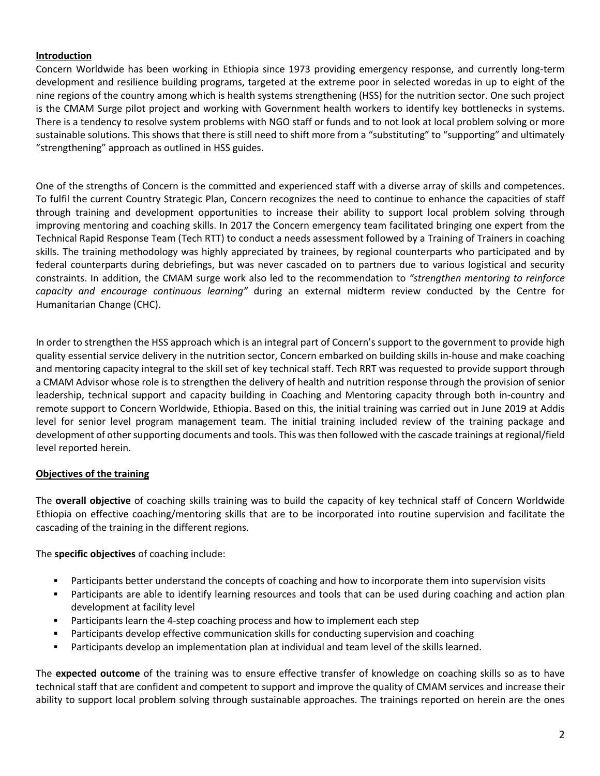## **Introduction**

Concern Worldwide has been working in Ethiopia since 1973 providing emergency response, and currently long-term development and resilience building programs, targeted at the extreme poor in selected woredas in up to eight of the nine regions of the country among which is health systems strengthening (HSS) for the nutrition sector. One such project is the CMAM Surge pilot project and working with Government health workers to identify key bottlenecks in systems. There is a tendency to resolve system problems with NGO staff or funds and to not look at local problem solving or more sustainable solutions. This shows that there is still need to shift more from a "substituting" to "supporting" and ultimately "strengthening" approach as outlined in HSS guides.

One of the strengths of Concern is the committed and experienced staff with a diverse array of skills and competences. To fulfil the current Country Strategic Plan, Concern recognizes the need to continue to enhance the capacities of staff through training and development opportunities to increase their ability to support local problem solving through improving mentoring and coaching skills. In 2017 the Concern emergency team facilitated bringing one expert from the Technical Rapid Response Team (Tech RTT) to conduct a needs assessment followed by a Training of Trainers in coaching skills. The training methodology was highly appreciated by trainees, by regional counterparts who participated and by federal counterparts during debriefings, but was never cascaded on to partners due to various logistical and security constraints. In addition, the CMAM surge work also led to the recommendation to *"strengthen mentoring to reinforce capacity and encourage continuous learning"* during an external midterm review conducted by the Centre for Humanitarian Change (CHC).

In order to strengthen the HSS approach which is an integral part of Concern's support to the government to provide high quality essential service delivery in the nutrition sector, Concern embarked on building skills in-house and make coaching and mentoring capacity integral to the skill set of key technical staff. Tech RRT was requested to provide support through a CMAM Advisor whose role is to strengthen the delivery of health and nutrition response through the provision of senior leadership, technical support and capacity building in Coaching and Mentoring capacity through both in-country and remote support to Concern Worldwide, Ethiopia. Based on this, the initial training was carried out in June 2019 at Addis level for senior level program management team. The initial training included review of the training package and development of other supporting documents and tools. This was then followed with the cascade trainings at regional/field level reported herein.

## **Objectives of the training**

The **overall objective** of coaching skills training was to build the capacity of key technical staff of Concern Worldwide Ethiopia on effective coaching/mentoring skills that are to be incorporated into routine supervision and facilitate the cascading of the training in the different regions.

The **specific objectives** of coaching include:

- ! Participants better understand the concepts of coaching and how to incorporate them into supervision visits
- ! Participants are able to identify learning resources and tools that can be used during coaching and action plan development at facility level
- ! Participants learn the 4-step coaching process and how to implement each step
- ! Participants develop effective communication skills for conducting supervision and coaching
- Participants develop an implementation plan at individual and team level of the skills learned.

The **expected outcome** of the training was to ensure effective transfer of knowledge on coaching skills so as to have technical staff that are confident and competent to support and improve the quality of CMAM services and increase their ability to support local problem solving through sustainable approaches. The trainings reported on herein are the ones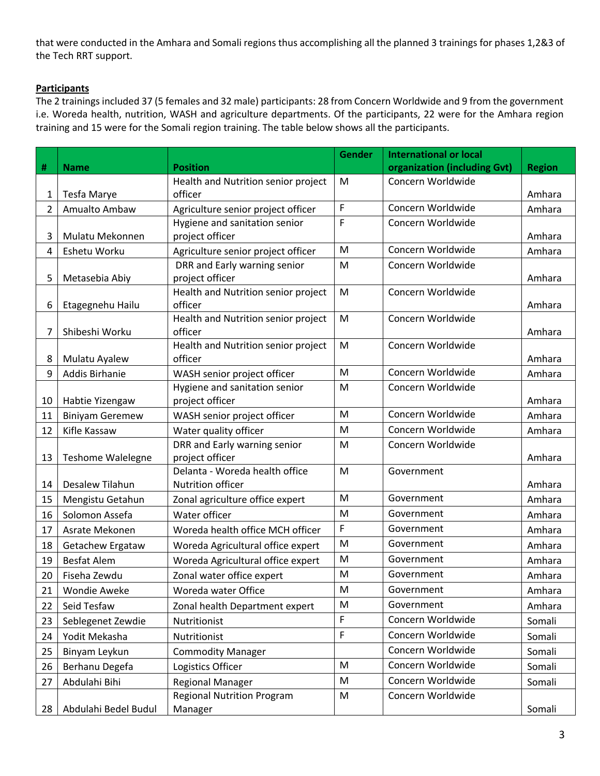that were conducted in the Amhara and Somali regions thus accomplishing all the planned 3 trainings for phases 1,2&3 of the Tech RRT support.

## **Participants**

The 2 trainings included 37 (5 females and 32 male) participants: 28 from Concern Worldwide and 9 from the government i.e. Woreda health, nutrition, WASH and agriculture departments. Of the participants, 22 were for the Amhara region training and 15 were for the Somali region training. The table below shows all the participants.

|             |                        |                                                        | <b>Gender</b> | <b>International or local</b> |               |
|-------------|------------------------|--------------------------------------------------------|---------------|-------------------------------|---------------|
| #           | <b>Name</b>            | <b>Position</b>                                        |               | organization (including Gvt)  | <b>Region</b> |
|             |                        | Health and Nutrition senior project                    | M             | Concern Worldwide             |               |
| 1           | Tesfa Marye            | officer                                                |               |                               | Amhara        |
| $2^{\circ}$ | Amualto Ambaw          | Agriculture senior project officer                     | F             | Concern Worldwide             | Amhara        |
|             |                        | Hygiene and sanitation senior                          | F             | Concern Worldwide             |               |
| 3           | Mulatu Mekonnen        | project officer                                        |               |                               | Amhara        |
| 4           | Eshetu Worku           | Agriculture senior project officer                     | M             | Concern Worldwide             | Amhara        |
|             |                        | DRR and Early warning senior                           | M             | Concern Worldwide             |               |
| 5           | Metasebia Abiy         | project officer<br>Health and Nutrition senior project | M             | Concern Worldwide             | Amhara        |
| 6           | Etagegnehu Hailu       | officer                                                |               |                               | Amhara        |
|             |                        | Health and Nutrition senior project                    | M             | Concern Worldwide             |               |
| 7           | Shibeshi Worku         | officer                                                |               |                               | Amhara        |
|             |                        | Health and Nutrition senior project                    | M             | Concern Worldwide             |               |
| 8           | Mulatu Ayalew          | officer                                                |               |                               | Amhara        |
| 9           | Addis Birhanie         | WASH senior project officer                            | M             | Concern Worldwide             | Amhara        |
|             |                        | Hygiene and sanitation senior                          | M             | Concern Worldwide             |               |
| 10          | Habtie Yizengaw        | project officer                                        |               |                               | Amhara        |
| 11          | <b>Biniyam Geremew</b> | WASH senior project officer                            | M             | Concern Worldwide             | Amhara        |
| 12          | Kifle Kassaw           | Water quality officer                                  | M             | Concern Worldwide             | Amhara        |
|             |                        | DRR and Early warning senior                           | M             | Concern Worldwide             |               |
| 13          | Teshome Walelegne      | project officer                                        |               |                               | Amhara        |
|             |                        | Delanta - Woreda health office                         | M             | Government                    |               |
| 14          | Desalew Tilahun        | Nutrition officer                                      | M             | Government                    | Amhara        |
| 15          | Mengistu Getahun       | Zonal agriculture office expert                        |               |                               | Amhara        |
| 16          | Solomon Assefa         | Water officer                                          | M             | Government                    | Amhara        |
| 17          | Asrate Mekonen         | Woreda health office MCH officer                       | F             | Government                    | Amhara        |
| 18          | Getachew Ergataw       | Woreda Agricultural office expert                      | M             | Government                    | Amhara        |
| 19          | <b>Besfat Alem</b>     | Woreda Agricultural office expert                      | M             | Government                    | Amhara        |
| 20          | Fiseha Zewdu           | Zonal water office expert                              | M             | Government                    | Amhara        |
| 21          | Wondie Aweke           | Woreda water Office                                    | М             | Government                    | Amhara        |
| 22          | Seid Tesfaw            | Zonal health Department expert                         | M             | Government                    | Amhara        |
| 23          | Seblegenet Zewdie      | Nutritionist                                           | F             | Concern Worldwide             | Somali        |
| 24          | Yodit Mekasha          | Nutritionist                                           | F             | Concern Worldwide             | Somali        |
| 25          | Binyam Leykun          | <b>Commodity Manager</b>                               |               | Concern Worldwide             | Somali        |
| 26          | Berhanu Degefa         | Logistics Officer                                      | M             | Concern Worldwide             | Somali        |
| 27          | Abdulahi Bihi          | <b>Regional Manager</b>                                | M             | Concern Worldwide             | Somali        |
|             |                        | <b>Regional Nutrition Program</b>                      | M             | Concern Worldwide             |               |
| 28          | Abdulahi Bedel Budul   | Manager                                                |               |                               | Somali        |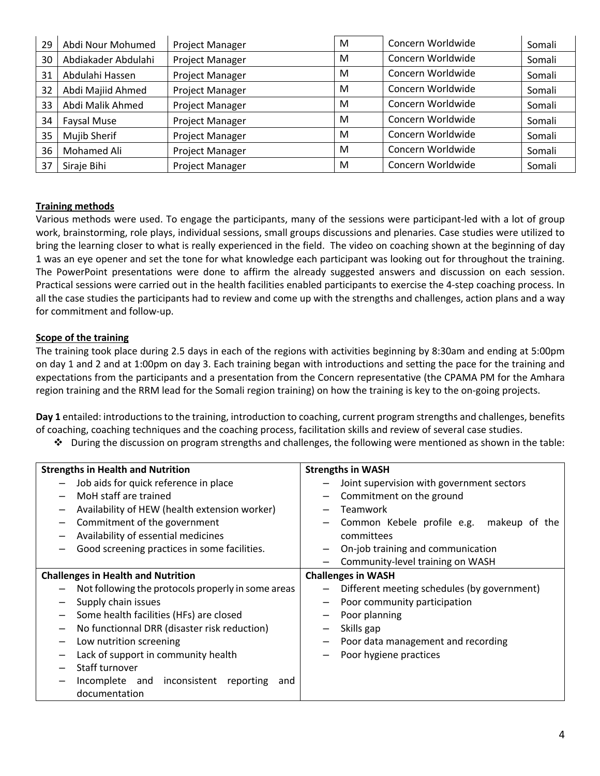| 29 | Abdi Nour Mohumed   | Project Manager | M | Concern Worldwide | Somali |
|----|---------------------|-----------------|---|-------------------|--------|
| 30 | Abdiakader Abdulahi | Project Manager | M | Concern Worldwide | Somali |
| 31 | Abdulahi Hassen     | Project Manager | M | Concern Worldwide | Somali |
| 32 | Abdi Majiid Ahmed   | Project Manager | M | Concern Worldwide | Somali |
| 33 | Abdi Malik Ahmed    | Project Manager | M | Concern Worldwide | Somali |
| 34 | Faysal Muse         | Project Manager | M | Concern Worldwide | Somali |
| 35 | Mujib Sherif        | Project Manager | M | Concern Worldwide | Somali |
| 36 | Mohamed Ali         | Project Manager | M | Concern Worldwide | Somali |
| 37 | Siraje Bihi         | Project Manager | M | Concern Worldwide | Somali |

#### **Training methods**

Various methods were used. To engage the participants, many of the sessions were participant-led with a lot of group work, brainstorming, role plays, individual sessions, small groups discussions and plenaries. Case studies were utilized to bring the learning closer to what is really experienced in the field. The video on coaching shown at the beginning of day 1 was an eye opener and set the tone for what knowledge each participant was looking out for throughout the training. The PowerPoint presentations were done to affirm the already suggested answers and discussion on each session. Practical sessions were carried out in the health facilities enabled participants to exercise the 4-step coaching process. In all the case studies the participants had to review and come up with the strengths and challenges, action plans and a way for commitment and follow-up.

## **Scope of the training**

The training took place during 2.5 days in each of the regions with activities beginning by 8:30am and ending at 5:00pm on day 1 and 2 and at 1:00pm on day 3. Each training began with introductions and setting the pace for the training and expectations from the participants and a presentation from the Concern representative (the CPAMA PM for the Amhara region training and the RRM lead for the Somali region training) on how the training is key to the on-going projects.

**Day 1** entailed: introductions to the training, introduction to coaching, current program strengths and challenges, benefits of coaching, coaching techniques and the coaching process, facilitation skills and review of several case studies.

 $\cdot \cdot$  During the discussion on program strengths and challenges, the following were mentioned as shown in the table:

| <b>Strengths in Health and Nutrition</b>                                                                                                                                                                                                                                                                                                                                                      | <b>Strengths in WASH</b>                                                                                                                                                                                             |
|-----------------------------------------------------------------------------------------------------------------------------------------------------------------------------------------------------------------------------------------------------------------------------------------------------------------------------------------------------------------------------------------------|----------------------------------------------------------------------------------------------------------------------------------------------------------------------------------------------------------------------|
| Job aids for quick reference in place<br>MoH staff are trained<br>Availability of HEW (health extension worker)<br>$\qquad \qquad -$<br>Commitment of the government<br>Availability of essential medicines<br>Good screening practices in some facilities.                                                                                                                                   | Joint supervision with government sectors<br>Commitment on the ground<br>Teamwork<br>Common Kebele profile e.g. makeup of the<br>committees<br>On-job training and communication<br>Community-level training on WASH |
| <b>Challenges in Health and Nutrition</b>                                                                                                                                                                                                                                                                                                                                                     | <b>Challenges in WASH</b>                                                                                                                                                                                            |
| Not following the protocols properly in some areas<br>Supply chain issues<br>-<br>Some health facilities (HFs) are closed<br>$\qquad \qquad -$<br>No functionnal DRR (disaster risk reduction)<br>$\qquad \qquad -$<br>Low nutrition screening<br>$\qquad \qquad -$<br>Lack of support in community health<br>Staff turnover<br>Incomplete and inconsistent reporting<br>and<br>documentation | Different meeting schedules (by government)<br>Poor community participation<br>Poor planning<br>Skills gap<br>Poor data management and recording<br>Poor hygiene practices                                           |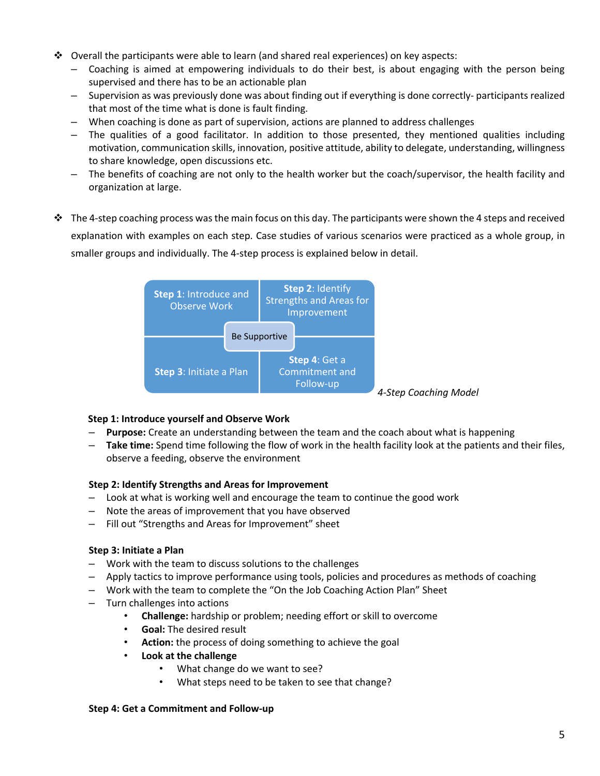- $\clubsuit$  Overall the participants were able to learn (and shared real experiences) on key aspects:
	- Coaching is aimed at empowering individuals to do their best, is about engaging with the person being supervised and there has to be an actionable plan
	- Supervision as was previously done was about finding out if everything is done correctly- participants realized that most of the time what is done is fault finding.
	- When coaching is done as part of supervision, actions are planned to address challenges
	- The qualities of a good facilitator. In addition to those presented, they mentioned qualities including motivation, communication skills, innovation, positive attitude, ability to delegate, understanding, willingness to share knowledge, open discussions etc.
	- The benefits of coaching are not only to the health worker but the coach/supervisor, the health facility and organization at large.
- $\cdot \cdot$  The 4-step coaching process was the main focus on this day. The participants were shown the 4 steps and received explanation with examples on each step. Case studies of various scenarios were practiced as a whole group, in smaller groups and individually. The 4-step process is explained below in detail.



#### **Step 1: Introduce yourself and Observe Work**

- **Purpose:** Create an understanding between the team and the coach about what is happening
- **Take time:** Spend time following the flow of work in the health facility look at the patients and their files, observe a feeding, observe the environment

#### **Step 2: Identify Strengths and Areas for Improvement**

- Look at what is working well and encourage the team to continue the good work
- Note the areas of improvement that you have observed
- Fill out "Strengths and Areas for Improvement" sheet

#### **Step 3: Initiate a Plan**

- Work with the team to discuss solutions to the challenges
- Apply tactics to improve performance using tools, policies and procedures as methods of coaching
- Work with the team to complete the "On the Job Coaching Action Plan" Sheet
- Turn challenges into actions
	- **Challenge:** hardship or problem; needing effort or skill to overcome
	- **Goal:** The desired result
	- **Action:** the process of doing something to achieve the goal
	- **Look at the challenge**
		- What change do we want to see?
		- What steps need to be taken to see that change?

#### **Step 4: Get a Commitment and Follow-up**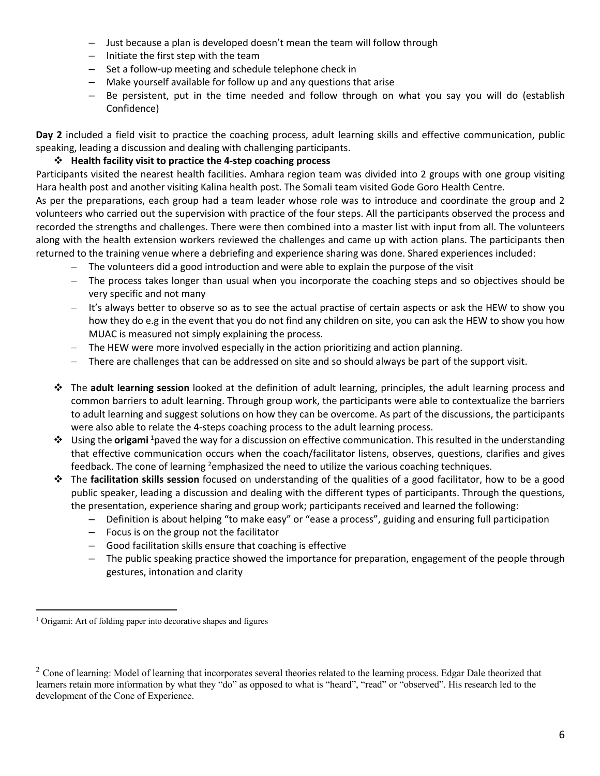- Just because a plan is developed doesn't mean the team will follow through
- Initiate the first step with the team
- Set a follow-up meeting and schedule telephone check in
- Make yourself available for follow up and any questions that arise
- Be persistent, put in the time needed and follow through on what you say you will do (establish Confidence)

**Day 2** included a field visit to practice the coaching process, adult learning skills and effective communication, public speaking, leading a discussion and dealing with challenging participants.

## " **Health facility visit to practice the 4-step coaching process**

Participants visited the nearest health facilities. Amhara region team was divided into 2 groups with one group visiting Hara health post and another visiting Kalina health post. The Somali team visited Gode Goro Health Centre.

As per the preparations, each group had a team leader whose role was to introduce and coordinate the group and 2 volunteers who carried out the supervision with practice of the four steps. All the participants observed the process and recorded the strengths and challenges. There were then combined into a master list with input from all. The volunteers along with the health extension workers reviewed the challenges and came up with action plans. The participants then returned to the training venue where a debriefing and experience sharing was done. Shared experiences included:

- The volunteers did a good introduction and were able to explain the purpose of the visit
- The process takes longer than usual when you incorporate the coaching steps and so objectives should be very specific and not many
- It's always better to observe so as to see the actual practise of certain aspects or ask the HEW to show you how they do e.g in the event that you do not find any children on site, you can ask the HEW to show you how MUAC is measured not simply explaining the process.
- The HEW were more involved especially in the action prioritizing and action planning.
- There are challenges that can be addressed on site and so should always be part of the support visit.
- " The **adult learning session** looked at the definition of adult learning, principles, the adult learning process and common barriers to adult learning. Through group work, the participants were able to contextualize the barriers to adult learning and suggest solutions on how they can be overcome. As part of the discussions, the participants were also able to relate the 4-steps coaching process to the adult learning process.
- " Using the **origami** <sup>1</sup> paved the way for a discussion on effective communication. This resulted in the understanding that effective communication occurs when the coach/facilitator listens, observes, questions, clarifies and gives feedback. The cone of learning <sup>2</sup>emphasized the need to utilize the various coaching techniques.
- " The **facilitation skills session** focused on understanding of the qualities of a good facilitator, how to be a good public speaker, leading a discussion and dealing with the different types of participants. Through the questions, the presentation, experience sharing and group work; participants received and learned the following:
	- Definition is about helping "to make easy" or "ease a process", guiding and ensuring full participation
	- Focus is on the group not the facilitator
	- Good facilitation skills ensure that coaching is effective
	- The public speaking practice showed the importance for preparation, engagement of the people through gestures, intonation and clarity

<sup>&</sup>lt;sup>1</sup> Origami: Art of folding paper into decorative shapes and figures

 $2^2$  Cone of learning: Model of learning that incorporates several theories related to the learning process. Edgar Dale theorized that learners retain more information by what they "do" as opposed to what is "heard", "read" or "observed". His research led to the development of the Cone of Experience.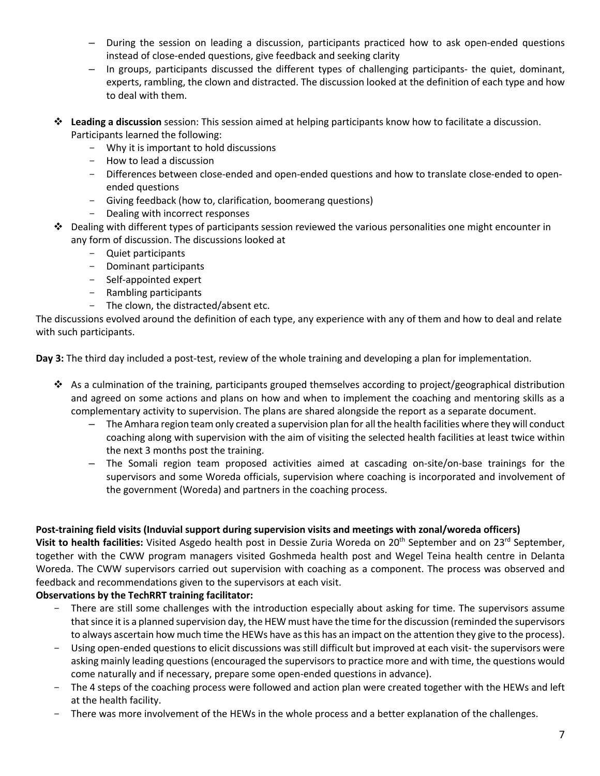- During the session on leading a discussion, participants practiced how to ask open-ended questions instead of close-ended questions, give feedback and seeking clarity
- In groups, participants discussed the different types of challenging participants- the quiet, dominant, experts, rambling, the clown and distracted. The discussion looked at the definition of each type and how to deal with them.
- " **Leading a discussion** session: This session aimed at helping participants know how to facilitate a discussion. Participants learned the following:
	- Why it is important to hold discussions
	- How to lead a discussion
	- Differences between close-ended and open-ended questions and how to translate close-ended to openended questions
	- Giving feedback (how to, clarification, boomerang questions)
	- Dealing with incorrect responses
- $\cdot \cdot$  Dealing with different types of participants session reviewed the various personalities one might encounter in any form of discussion. The discussions looked at
	- Quiet participants
	- Dominant participants
	- Self-appointed expert
	- Rambling participants
	- The clown, the distracted/absent etc.

The discussions evolved around the definition of each type, any experience with any of them and how to deal and relate with such participants.

**Day 3:** The third day included a post-test, review of the whole training and developing a plan for implementation.

- $\cdot$  As a culmination of the training, participants grouped themselves according to project/geographical distribution and agreed on some actions and plans on how and when to implement the coaching and mentoring skills as a complementary activity to supervision. The plans are shared alongside the report as a separate document.
	- The Amhara region team only created a supervision plan for all the health facilities where they will conduct coaching along with supervision with the aim of visiting the selected health facilities at least twice within the next 3 months post the training.
	- The Somali region team proposed activities aimed at cascading on-site/on-base trainings for the supervisors and some Woreda officials, supervision where coaching is incorporated and involvement of the government (Woreda) and partners in the coaching process.

#### **Post-training field visits (Induvial support during supervision visits and meetings with zonal/woreda officers)**

**Visit to health facilities:** Visited Asgedo health post in Dessie Zuria Woreda on 20<sup>th</sup> September and on 23<sup>rd</sup> September, together with the CWW program managers visited Goshmeda health post and Wegel Teina health centre in Delanta Woreda. The CWW supervisors carried out supervision with coaching as a component. The process was observed and feedback and recommendations given to the supervisors at each visit.

## **Observations by the TechRRT training facilitator:**

- There are still some challenges with the introduction especially about asking for time. The supervisors assume that since it is a planned supervision day, the HEW must have the time for the discussion (reminded the supervisors to always ascertain how much time the HEWs have as this has an impact on the attention they give to the process).
- Using open-ended questions to elicit discussions was still difficult but improved at each visit- the supervisors were asking mainly leading questions (encouraged the supervisors to practice more and with time, the questions would come naturally and if necessary, prepare some open-ended questions in advance).
- The 4 steps of the coaching process were followed and action plan were created together with the HEWs and left at the health facility.
- There was more involvement of the HEWs in the whole process and a better explanation of the challenges.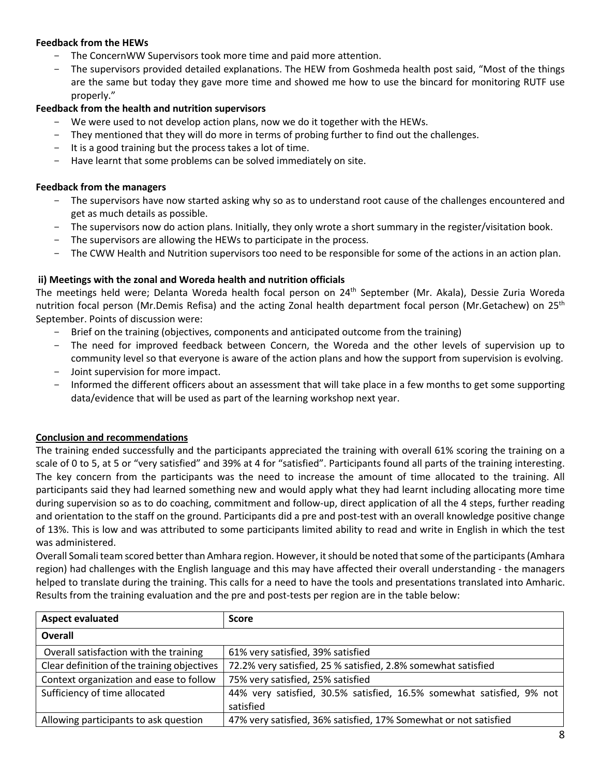## **Feedback from the HEWs**

- The ConcernWW Supervisors took more time and paid more attention.
- The supervisors provided detailed explanations. The HEW from Goshmeda health post said, "Most of the things are the same but today they gave more time and showed me how to use the bincard for monitoring RUTF use properly."

## **Feedback from the health and nutrition supervisors**

- We were used to not develop action plans, now we do it together with the HEWs.
- They mentioned that they will do more in terms of probing further to find out the challenges.
- It is a good training but the process takes a lot of time.
- Have learnt that some problems can be solved immediately on site.

#### **Feedback from the managers**

- The supervisors have now started asking why so as to understand root cause of the challenges encountered and get as much details as possible.
- The supervisors now do action plans. Initially, they only wrote a short summary in the register/visitation book.
- The supervisors are allowing the HEWs to participate in the process.
- The CWW Health and Nutrition supervisors too need to be responsible for some of the actions in an action plan.

## **ii) Meetings with the zonal and Woreda health and nutrition officials**

The meetings held were; Delanta Woreda health focal person on 24<sup>th</sup> September (Mr. Akala), Dessie Zuria Woreda nutrition focal person (Mr.Demis Refisa) and the acting Zonal health department focal person (Mr.Getachew) on 25<sup>th</sup> September. Points of discussion were:

- Brief on the training (objectives, components and anticipated outcome from the training)
- The need for improved feedback between Concern, the Woreda and the other levels of supervision up to community level so that everyone is aware of the action plans and how the support from supervision is evolving. Joint supervision for more impact.
- Informed the different officers about an assessment that will take place in a few months to get some supporting data/evidence that will be used as part of the learning workshop next year.

#### **Conclusion and recommendations**

The training ended successfully and the participants appreciated the training with overall 61% scoring the training on a scale of 0 to 5, at 5 or "very satisfied" and 39% at 4 for "satisfied". Participants found all parts of the training interesting. The key concern from the participants was the need to increase the amount of time allocated to the training. All participants said they had learned something new and would apply what they had learnt including allocating more time during supervision so as to do coaching, commitment and follow-up, direct application of all the 4 steps, further reading and orientation to the staff on the ground. Participants did a pre and post-test with an overall knowledge positive change of 13%. This is low and was attributed to some participants limited ability to read and write in English in which the test was administered.

Overall Somali team scored better than Amhara region. However, it should be noted that some of the participants(Amhara region) had challenges with the English language and this may have affected their overall understanding - the managers helped to translate during the training. This calls for a need to have the tools and presentations translated into Amharic. Results from the training evaluation and the pre and post-tests per region are in the table below:

| <b>Aspect evaluated</b>                     | <b>Score</b>                                                          |  |
|---------------------------------------------|-----------------------------------------------------------------------|--|
| <b>Overall</b>                              |                                                                       |  |
| Overall satisfaction with the training      | 61% very satisfied, 39% satisfied                                     |  |
| Clear definition of the training objectives | 72.2% very satisfied, 25 % satisfied, 2.8% somewhat satisfied         |  |
| Context organization and ease to follow     | 75% very satisfied, 25% satisfied                                     |  |
| Sufficiency of time allocated               | 44% very satisfied, 30.5% satisfied, 16.5% somewhat satisfied, 9% not |  |
|                                             | satisfied                                                             |  |
| Allowing participants to ask question       | 47% very satisfied, 36% satisfied, 17% Somewhat or not satisfied      |  |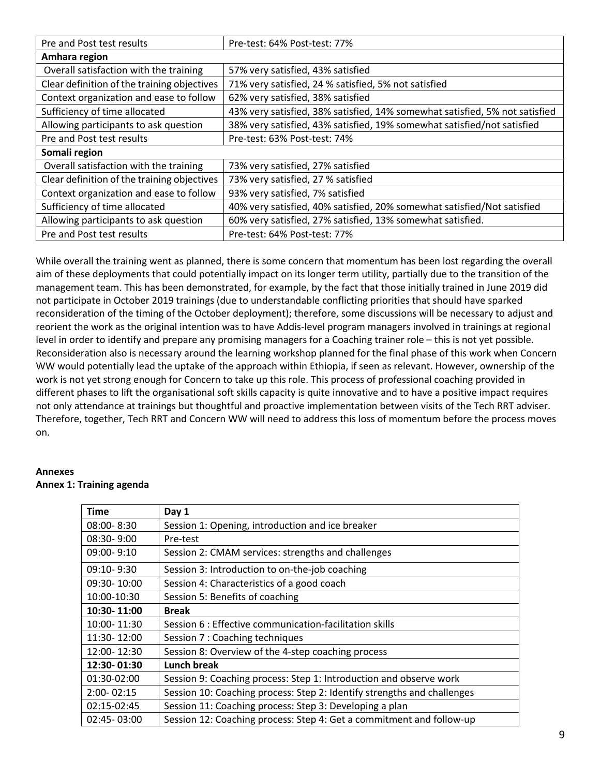| Pre and Post test results                   | Pre-test: 64% Post-test: 77%                                                |  |
|---------------------------------------------|-----------------------------------------------------------------------------|--|
| Amhara region                               |                                                                             |  |
| Overall satisfaction with the training      | 57% very satisfied, 43% satisfied                                           |  |
| Clear definition of the training objectives | 71% very satisfied, 24 % satisfied, 5% not satisfied                        |  |
| Context organization and ease to follow     | 62% very satisfied, 38% satisfied                                           |  |
| Sufficiency of time allocated               | 43% very satisfied, 38% satisfied, 14% somewhat satisfied, 5% not satisfied |  |
| Allowing participants to ask question       | 38% very satisfied, 43% satisfied, 19% somewhat satisfied/not satisfied     |  |
| Pre and Post test results                   | Pre-test: 63% Post-test: 74%                                                |  |
| Somali region                               |                                                                             |  |
| Overall satisfaction with the training      | 73% very satisfied, 27% satisfied                                           |  |
| Clear definition of the training objectives | 73% very satisfied, 27 % satisfied                                          |  |
| Context organization and ease to follow     | 93% very satisfied, 7% satisfied                                            |  |
| Sufficiency of time allocated               | 40% very satisfied, 40% satisfied, 20% somewhat satisfied/Not satisfied     |  |
| Allowing participants to ask question       | 60% very satisfied, 27% satisfied, 13% somewhat satisfied.                  |  |
| Pre and Post test results                   | Pre-test: 64% Post-test: 77%                                                |  |

While overall the training went as planned, there is some concern that momentum has been lost regarding the overall aim of these deployments that could potentially impact on its longer term utility, partially due to the transition of the management team. This has been demonstrated, for example, by the fact that those initially trained in June 2019 did not participate in October 2019 trainings (due to understandable conflicting priorities that should have sparked reconsideration of the timing of the October deployment); therefore, some discussions will be necessary to adjust and reorient the work as the original intention was to have Addis-level program managers involved in trainings at regional level in order to identify and prepare any promising managers for a Coaching trainer role – this is not yet possible. Reconsideration also is necessary around the learning workshop planned for the final phase of this work when Concern WW would potentially lead the uptake of the approach within Ethiopia, if seen as relevant. However, ownership of the work is not yet strong enough for Concern to take up this role. This process of professional coaching provided in different phases to lift the organisational soft skills capacity is quite innovative and to have a positive impact requires not only attendance at trainings but thoughtful and proactive implementation between visits of the Tech RRT adviser. Therefore, together, Tech RRT and Concern WW will need to address this loss of momentum before the process moves on.

# **Annexes**

#### **Annex 1: Training agenda**

| Time            | Day 1                                                                   |
|-----------------|-------------------------------------------------------------------------|
| $08:00 - 8:30$  | Session 1: Opening, introduction and ice breaker                        |
| 08:30-9:00      | Pre-test                                                                |
| $09:00 - 9:10$  | Session 2: CMAM services: strengths and challenges                      |
| $09:10 - 9:30$  | Session 3: Introduction to on-the-job coaching                          |
| 09:30-10:00     | Session 4: Characteristics of a good coach                              |
| 10:00-10:30     | Session 5: Benefits of coaching                                         |
| 10:30-11:00     | <b>Break</b>                                                            |
| 10:00-11:30     | Session 6 : Effective communication-facilitation skills                 |
| 11:30-12:00     | Session 7 : Coaching techniques                                         |
| 12:00-12:30     | Session 8: Overview of the 4-step coaching process                      |
| 12:30-01:30     | <b>Lunch break</b>                                                      |
| 01:30-02:00     | Session 9: Coaching process: Step 1: Introduction and observe work      |
| 2:00-02:15      | Session 10: Coaching process: Step 2: Identify strengths and challenges |
| 02:15-02:45     | Session 11: Coaching process: Step 3: Developing a plan                 |
| $02:45 - 03:00$ | Session 12: Coaching process: Step 4: Get a commitment and follow-up    |